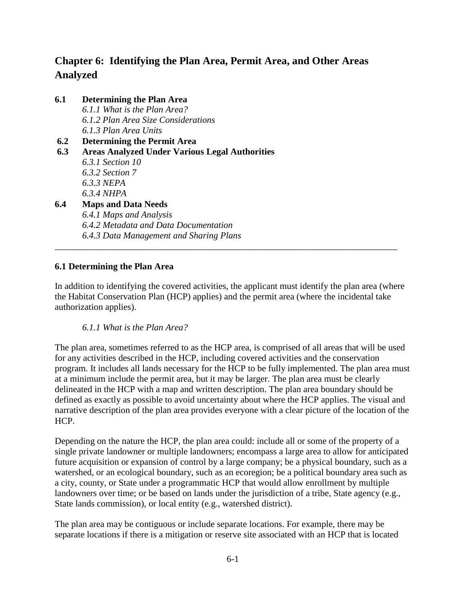# **Chapter 6: Identifying the Plan Area, Permit Area, and Other Areas Analyzed**

**6.1 Determining the Plan Area** *6.1.1 What is the Plan Area? 6.1.2 Plan Area Size Considerations 6.1.3 Plan Area Units* **6.2 Determining the Permit Area 6.3 Areas Analyzed Under Various Legal Authorities**  *6.3.1 Section 10 6.3.2 Section 7 6.3.3 NEPA 6.3.4 NHPA*  **6.4 Maps and Data Needs** *6.4.1 Maps and Analysis 6.4.2 Metadata and Data Documentation 6.4.3 Data Management and Sharing Plans* \_\_\_\_\_\_\_\_\_\_\_\_\_\_\_\_\_\_\_\_\_\_\_\_\_\_\_\_\_\_\_\_\_\_\_\_\_\_\_\_\_\_\_\_\_\_\_\_\_\_\_\_\_\_\_\_\_\_\_\_\_\_\_\_\_\_\_\_\_\_\_\_\_\_\_

#### **6.1 Determining the Plan Area**

In addition to identifying the covered activities, the applicant must identify the plan area (where the Habitat Conservation Plan (HCP) applies) and the permit area (where the incidental take authorization applies).

#### *6.1.1 What is the Plan Area?*

The plan area, sometimes referred to as the HCP area, is comprised of all areas that will be used for any activities described in the HCP, including covered activities and the conservation program. It includes all lands necessary for the HCP to be fully implemented. The plan area must at a minimum include the permit area, but it may be larger. The plan area must be clearly delineated in the HCP with a map and written description. The plan area boundary should be defined as exactly as possible to avoid uncertainty about where the HCP applies. The visual and narrative description of the plan area provides everyone with a clear picture of the location of the HCP.

Depending on the nature the HCP, the plan area could: include all or some of the property of a single private landowner or multiple landowners; encompass a large area to allow for anticipated future acquisition or expansion of control by a large company; be a physical boundary, such as a watershed, or an ecological boundary, such as an ecoregion; be a political boundary area such as a city, county, or State under a programmatic HCP that would allow enrollment by multiple landowners over time; or be based on lands under the jurisdiction of a tribe, State agency (e.g., State lands commission), or local entity (e.g., watershed district).

The plan area may be contiguous or include separate locations. For example, there may be separate locations if there is a mitigation or reserve site associated with an HCP that is located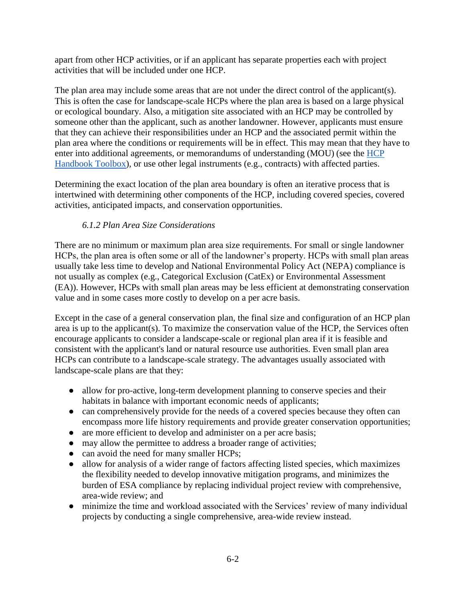apart from other HCP activities, or if an applicant has separate properties each with project activities that will be included under one HCP.

The plan area may include some areas that are not under the direct control of the applicant(s). This is often the case for landscape-scale HCPs where the plan area is based on a large physical or ecological boundary. Also, a mitigation site associated with an HCP may be controlled by someone other than the applicant, such as another landowner. However, applicants must ensure that they can achieve their responsibilities under an HCP and the associated permit within the plan area where the conditions or requirements will be in effect. This may mean that they have to enter into additional agreements, or memorandums of understanding (MOU) (see the [HCP](https://www.fws.gov/endangered/what-we-do/hcp-handbook-toolbox.html#Ch6)  [Handbook Toolbox\)](https://www.fws.gov/endangered/what-we-do/hcp-handbook-toolbox.html#Ch6), or use other legal instruments (e.g., contracts) with affected parties.

Determining the exact location of the plan area boundary is often an iterative process that is intertwined with determining other components of the HCP, including covered species, covered activities, anticipated impacts, and conservation opportunities.

# *6.1.2 Plan Area Size Considerations*

There are no minimum or maximum plan area size requirements. For small or single landowner HCPs, the plan area is often some or all of the landowner's property. HCPs with small plan areas usually take less time to develop and National Environmental Policy Act (NEPA) compliance is not usually as complex (e.g., Categorical Exclusion (CatEx) or Environmental Assessment (EA)). However, HCPs with small plan areas may be less efficient at demonstrating conservation value and in some cases more costly to develop on a per acre basis.

Except in the case of a general conservation plan, the final size and configuration of an HCP plan area is up to the applicant(s). To maximize the conservation value of the HCP, the Services often encourage applicants to consider a landscape-scale or regional plan area if it is feasible and consistent with the applicant's land or natural resource use authorities. Even small plan area HCPs can contribute to a landscape-scale strategy. The advantages usually associated with landscape-scale plans are that they:

- allow for pro-active, long-term development planning to conserve species and their habitats in balance with important economic needs of applicants;
- can comprehensively provide for the needs of a covered species because they often can encompass more life history requirements and provide greater conservation opportunities;
- are more efficient to develop and administer on a per acre basis;
- may allow the permittee to address a broader range of activities;
- can avoid the need for many smaller HCPs;
- allow for analysis of a wider range of factors affecting listed species, which maximizes the flexibility needed to develop innovative mitigation programs, and minimizes the burden of ESA compliance by replacing individual project review with comprehensive, area-wide review; and
- minimize the time and workload associated with the Services' review of many individual projects by conducting a single comprehensive, area-wide review instead.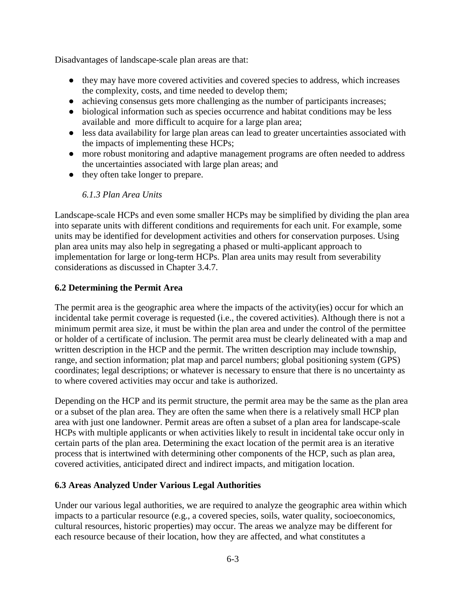Disadvantages of landscape-scale plan areas are that:

- they may have more covered activities and covered species to address, which increases the complexity, costs, and time needed to develop them;
- achieving consensus gets more challenging as the number of participants increases;
- biological information such as species occurrence and habitat conditions may be less available and more difficult to acquire for a large plan area;
- less data availability for large plan areas can lead to greater uncertainties associated with the impacts of implementing these HCPs;
- more robust monitoring and adaptive management programs are often needed to address the uncertainties associated with large plan areas; and
- they often take longer to prepare.

# *6.1.3 Plan Area Units*

Landscape-scale HCPs and even some smaller HCPs may be simplified by dividing the plan area into separate units with different conditions and requirements for each unit. For example, some units may be identified for development activities and others for conservation purposes. Using plan area units may also help in segregating a phased or multi-applicant approach to implementation for large or long-term HCPs. Plan area units may result from severability considerations as discussed in Chapter 3.4.7.

# **6.2 Determining the Permit Area**

The permit area is the geographic area where the impacts of the activity(ies) occur for which an incidental take permit coverage is requested (i.e., the covered activities). Although there is not a minimum permit area size, it must be within the plan area and under the control of the permittee or holder of a certificate of inclusion. The permit area must be clearly delineated with a map and written description in the HCP and the permit. The written description may include township, range, and section information; plat map and parcel numbers; global positioning system (GPS) coordinates; legal descriptions; or whatever is necessary to ensure that there is no uncertainty as to where covered activities may occur and take is authorized.

Depending on the HCP and its permit structure, the permit area may be the same as the plan area or a subset of the plan area. They are often the same when there is a relatively small HCP plan area with just one landowner. Permit areas are often a subset of a plan area for landscape-scale HCPs with multiple applicants or when activities likely to result in incidental take occur only in certain parts of the plan area. Determining the exact location of the permit area is an iterative process that is intertwined with determining other components of the HCP, such as plan area, covered activities, anticipated direct and indirect impacts, and mitigation location.

## **6.3 Areas Analyzed Under Various Legal Authorities**

Under our various legal authorities, we are required to analyze the geographic area within which impacts to a particular resource (e.g., a covered species, soils, water quality, socioeconomics, cultural resources, historic properties) may occur. The areas we analyze may be different for each resource because of their location, how they are affected, and what constitutes a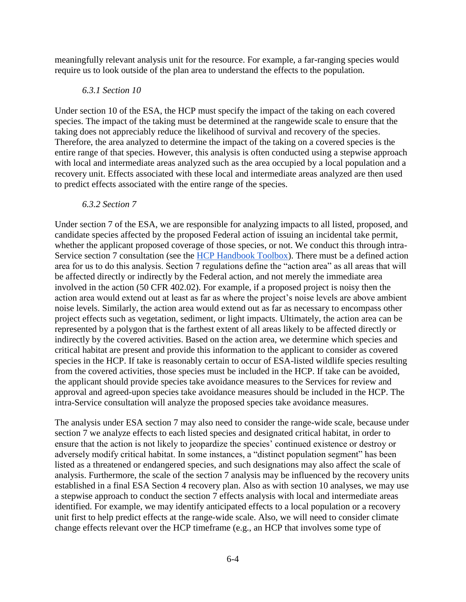meaningfully relevant analysis unit for the resource. For example, a far-ranging species would require us to look outside of the plan area to understand the effects to the population.

#### *6.3.1 Section 10*

Under section 10 of the ESA, the HCP must specify the impact of the taking on each covered species. The impact of the taking must be determined at the rangewide scale to ensure that the taking does not appreciably reduce the likelihood of survival and recovery of the species. Therefore, the area analyzed to determine the impact of the taking on a covered species is the entire range of that species. However, this analysis is often conducted using a stepwise approach with local and intermediate areas analyzed such as the area occupied by a local population and a recovery unit. Effects associated with these local and intermediate areas analyzed are then used to predict effects associated with the entire range of the species.

#### *6.3.2 Section 7*

Under section 7 of the ESA, we are responsible for analyzing impacts to all listed, proposed, and candidate species affected by the proposed Federal action of issuing an incidental take permit, whether the applicant proposed coverage of those species, or not. We conduct this through intra-Service section 7 consultation (see the [HCP Handbook Toolbox\)](https://www.fws.gov/endangered/what-we-do/hcp-handbook-toolbox.html#Ch6). There must be a defined action area for us to do this analysis. Section 7 regulations define the "action area" as all areas that will be affected directly or indirectly by the Federal action, and not merely the immediate area involved in the action (50 CFR 402.02). For example, if a proposed project is noisy then the action area would extend out at least as far as where the project's noise levels are above ambient noise levels. Similarly, the action area would extend out as far as necessary to encompass other project effects such as vegetation, sediment, or light impacts. Ultimately, the action area can be represented by a polygon that is the farthest extent of all areas likely to be affected directly or indirectly by the covered activities. Based on the action area, we determine which species and critical habitat are present and provide this information to the applicant to consider as covered species in the HCP. If take is reasonably certain to occur of ESA-listed wildlife species resulting from the covered activities, those species must be included in the HCP. If take can be avoided, the applicant should provide species take avoidance measures to the Services for review and approval and agreed-upon species take avoidance measures should be included in the HCP. The intra-Service consultation will analyze the proposed species take avoidance measures.

The analysis under ESA section 7 may also need to consider the range-wide scale, because under section 7 we analyze effects to each listed species and designated critical habitat, in order to ensure that the action is not likely to jeopardize the species' continued existence or destroy or adversely modify critical habitat. In some instances, a "distinct population segment" has been listed as a threatened or endangered species, and such designations may also affect the scale of analysis. Furthermore, the scale of the section 7 analysis may be influenced by the recovery units established in a final ESA Section 4 recovery plan. Also as with section 10 analyses, we may use a stepwise approach to conduct the section 7 effects analysis with local and intermediate areas identified. For example, we may identify anticipated effects to a local population or a recovery unit first to help predict effects at the range-wide scale. Also, we will need to consider climate change effects relevant over the HCP timeframe (e.g., an HCP that involves some type of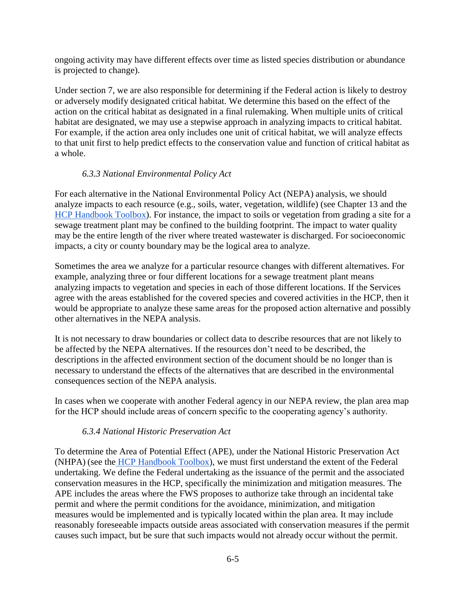ongoing activity may have different effects over time as listed species distribution or abundance is projected to change).

Under section 7, we are also responsible for determining if the Federal action is likely to destroy or adversely modify designated critical habitat. We determine this based on the effect of the action on the critical habitat as designated in a final rulemaking. When multiple units of critical habitat are designated, we may use a stepwise approach in analyzing impacts to critical habitat. For example, if the action area only includes one unit of critical habitat, we will analyze effects to that unit first to help predict effects to the conservation value and function of critical habitat as a whole.

#### *6.3.3 National Environmental Policy Act*

For each alternative in the National Environmental Policy Act (NEPA) analysis, we should analyze impacts to each resource (e.g., soils, water, vegetation, wildlife) (see Chapter 13 and the [HCP Handbook Toolbox\)](https://www.fws.gov/endangered/what-we-do/hcp-handbook-toolbox.html#Ch6). For instance, the impact to soils or vegetation from grading a site for a sewage treatment plant may be confined to the building footprint. The impact to water quality may be the entire length of the river where treated wastewater is discharged. For socioeconomic impacts, a city or county boundary may be the logical area to analyze.

Sometimes the area we analyze for a particular resource changes with different alternatives. For example, analyzing three or four different locations for a sewage treatment plant means analyzing impacts to vegetation and species in each of those different locations. If the Services agree with the areas established for the covered species and covered activities in the HCP, then it would be appropriate to analyze these same areas for the proposed action alternative and possibly other alternatives in the NEPA analysis.

It is not necessary to draw boundaries or collect data to describe resources that are not likely to be affected by the NEPA alternatives. If the resources don't need to be described, the descriptions in the affected environment section of the document should be no longer than is necessary to understand the effects of the alternatives that are described in the environmental consequences section of the NEPA analysis.

In cases when we cooperate with another Federal agency in our NEPA review, the plan area map for the HCP should include areas of concern specific to the cooperating agency's authority.

#### *6.3.4 National Historic Preservation Act*

To determine the Area of Potential Effect (APE), under the National Historic Preservation Act (NHPA) (see the [HCP Handbook Toolbox\)](https://www.fws.gov/endangered/what-we-do/hcp-handbook-toolbox.html#Ch6), we must first understand the extent of the Federal undertaking. We define the Federal undertaking as the issuance of the permit and the associated conservation measures in the HCP, specifically the minimization and mitigation measures. The APE includes the areas where the FWS proposes to authorize take through an incidental take permit and where the permit conditions for the avoidance, minimization, and mitigation measures would be implemented and is typically located within the plan area. It may include reasonably foreseeable impacts outside areas associated with conservation measures if the permit causes such impact, but be sure that such impacts would not already occur without the permit.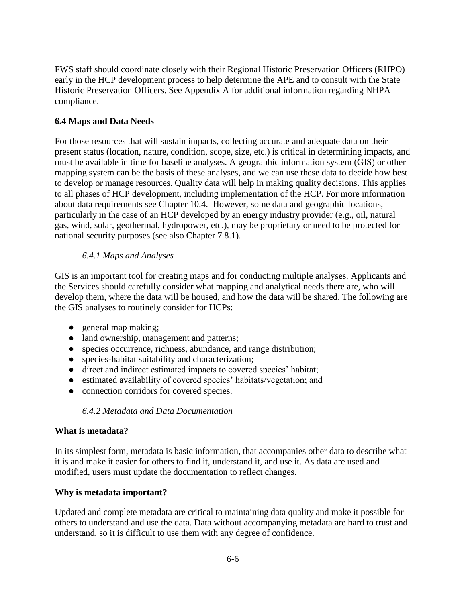FWS staff should coordinate closely with their Regional Historic Preservation Officers (RHPO) early in the HCP development process to help determine the APE and to consult with the State Historic Preservation Officers. See Appendix A for additional information regarding NHPA compliance.

# **6.4 Maps and Data Needs**

For those resources that will sustain impacts, collecting accurate and adequate data on their present status (location, nature, condition, scope, size, etc.) is critical in determining impacts, and must be available in time for baseline analyses. A geographic information system (GIS) or other mapping system can be the basis of these analyses, and we can use these data to decide how best to develop or manage resources. Quality data will help in making quality decisions. This applies to all phases of HCP development, including implementation of the HCP. For more information about data requirements see Chapter 10.4. However, some data and geographic locations, particularly in the case of an HCP developed by an energy industry provider (e.g., oil, natural gas, wind, solar, geothermal, hydropower, etc.), may be proprietary or need to be protected for national security purposes (see also Chapter 7.8.1).

## *6.4.1 Maps and Analyses*

GIS is an important tool for creating maps and for conducting multiple analyses. Applicants and the Services should carefully consider what mapping and analytical needs there are, who will develop them, where the data will be housed, and how the data will be shared. The following are the GIS analyses to routinely consider for HCPs:

- general map making;
- land ownership, management and patterns;
- species occurrence, richness, abundance, and range distribution;
- species-habitat suitability and characterization;
- direct and indirect estimated impacts to covered species' habitat;
- estimated availability of covered species' habitats/vegetation; and
- connection corridors for covered species.

## *6.4.2 Metadata and Data Documentation*

## **What is metadata?**

In its simplest form, metadata is basic information, that accompanies other data to describe what it is and make it easier for others to find it, understand it, and use it. As data are used and modified, users must update the documentation to reflect changes.

## **Why is metadata important?**

Updated and complete metadata are critical to maintaining data quality and make it possible for others to understand and use the data. Data without accompanying metadata are hard to trust and understand, so it is difficult to use them with any degree of confidence.